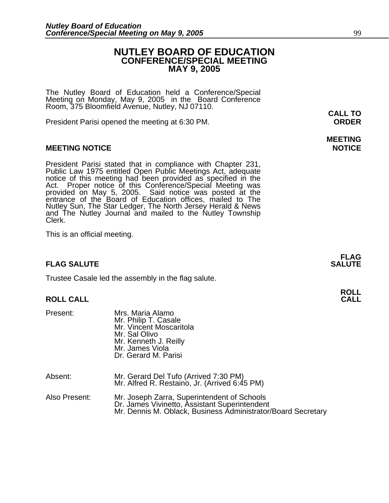### **NUTLEY BOARD OF EDUCATION CONFERENCE/SPECIAL MEETING MAY 9, 2005**

The Nutley Board of Education held a Conference/Special Meeting on Monday, May 9, 2005 in the Board Conference Room, 375 Bloomfield Avenue, Nutley, NJ 07110.

President Parisi opened the meeting at 6:30 PM. **ORDER**

### **MEETING NOTICE NOTICE**

President Parisi stated that in compliance with Chapter 231,<br>Public Law 1975 entitled Open Public Meetings Act, adequate<br>notice of this meeting had been provided as specified in the<br>Act. Proper notice of this Conference/Sp Nutley Sun, The Star Ledger, The North Jersey Herald & News and The Nutley Journal and mailed to the Nutley Township Clerk.

This is an official meeting.

### **FLAG SALUTE SALUTE SALUTE**

Trustee Casale led the assembly in the flag salute.

### **ROLL CALL CALL**

| Present:      | Mrs. Maria Alamo<br>Mr. Philip T. Casale<br>Mr. Vincent Moscaritola<br>Mr. Sal Olivo<br>Mr. Kenneth J. Reilly<br>Mr. James Viola<br>Dr. Gerard M. Parisi     |
|---------------|--------------------------------------------------------------------------------------------------------------------------------------------------------------|
| Absent:       | Mr. Gerard Del Tufo (Arrived 7:30 PM)<br>Mr. Alfred R. Restaino, Jr. (Arrived 6:45 PM)                                                                       |
| Also Present: | Mr. Joseph Zarra, Superintendent of Schools<br>Dr. James Vivinetto, Assistant Superintendent<br>Mr. Dennis M. Oblack, Business Administrator/Board Secretary |

**CALL TO** 

# **MEETING**

**FLAG** 

**ROLL**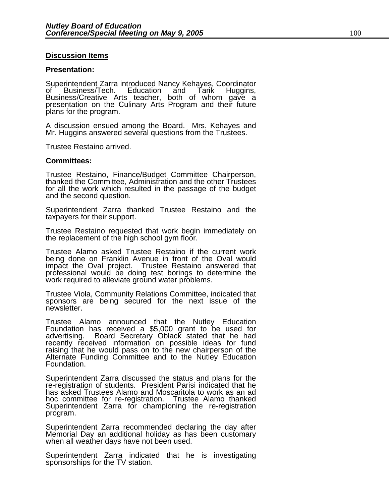### **Discussion Items**

### **Presentation:**

Superintendent Zarra introduced Nancy Kehayes, Coordinator<br>of Business/Tech. Education and Tarik Huggins, of Business/Tech. Education and Tarik Huggins,<br>Business/Creative Arts teacher, both of whom gave a presentation on the Culinary Arts Program and their future plans for the program.

A discussion ensued among the Board. Mrs. Kehayes and Mr. Huggins answered several questions from the Trustees.

Trustee Restaino arrived.

### **Committees:**

Trustee Restaino, Finance/Budget Committee Chairperson, thanked the Committee, Administration and the other Trustees for all the work which resulted in the passage of the budget and the second question.

Superintendent Zarra thanked Trustee Restaino and the taxpayers for their support.

Trustee Restaino requested that work begin immediately on the replacement of the high school gym floor.

Trustee Alamo asked Trustee Restaino if the current work being done on Franklin Avenue in front of the Oval would impact the Oval project. Trustee Restaino answered that professional would be doing test borings to determine the<br>work required to alleviate ground water problems.

Trustee Viola, Community Relations Committee, indicated that sponsors are being secured for the next issue of the newsletter.

Trustee Alamo announced that the Nutley Education Foundation has received a \$5,000 grant to be used for advertising. Board Secretary Oblack stated that he had recently received information on possible ideas for fund raising that he would pass on to the new chairperson of the Alternate Funding Committee and to the Nutley Education Foundation.

Superintendent Zarra discussed the status and plans for the re-registration of students. President Parisi indicated that he has asked Trustees Alamo and Moscaritola to work as an ad hoc committee for re-registration. Trustee Alamo thanked Superintendent Zarra for championing the re-registration program.

Superintendent Zarra recommended declaring the day after Memorial Day an additional holiday as has been customary when all weather days have not been used.

Superintendent Zarra indicated that he is investigating sponsorships for the TV station.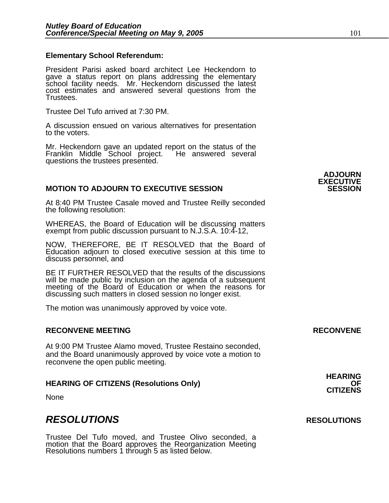### **Elementary School Referendum:**

President Parisi asked board architect Lee Heckendorn to gave a status report on plans addressing the elementary school facility needs. Mr. Heckendorn discussed the latest cost estimates and answered several questions from the Trustees.

Trustee Del Tufo arrived at 7:30 PM.

A discussion ensued on various alternatives for presentation to the voters.

Mr. Heckendorn gave an updated report on the status of the Franklin Middle School project. He answered several Franklin Middle School project. questions the trustees presented.

### **MOTION TO ADJOURN TO EXECUTIVE SESSION**

At 8:40 PM Trustee Casale moved and Trustee Reilly seconded the following resolution:

WHEREAS, the Board of Education will be discussing matters exempt from public discussion pursuant to N.J.S.A. 10:4-12,

NOW, THEREFORE, BE IT RESOLVED that the Board of Education adjourn to closed executive session at this time to discuss personnel, and

BE IT FURTHER RESOLVED that the results of the discussions will be made public by inclusion on the agenda of a subsequent meeting of the Board of Education or when the reasons for discussing such matters in closed session no longer exist.

The motion was unanimously approved by voice vote.

### **RECONVENE MEETING RECONVENE**

At 9:00 PM Trustee Alamo moved, Trustee Restaino seconded, and the Board unanimously approved by voice vote a motion to reconvene the open public meeting.

## **HEARING OF CITIZENS (Resolutions Only) OF CITIZENS**

None

### *RESOLUTIONS* **RESOLUTIONS**

Trustee Del Tufo moved, and Trustee Olivo seconded, a motion that the Board approves the Reorganization Meeting Resolutions numbers 1 through 5 as listed below.



**ADJOURN EXECUTIVE** 

**HEARING**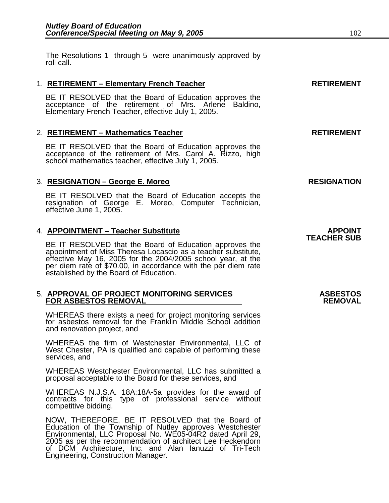The Resolutions 1 through 5 were unanimously approved by roll call.

### 1. **RETIREMENT – Elementary French Teacher RETIREMENT**

BE IT RESOLVED that the Board of Education approves the acceptance of the retirement of Mrs. Arlene Baldino, Elementary French Teacher, effective July 1, 2005.

### 2. **RETIREMENT – Mathematics Teacher RETIREMENT**

BE IT RESOLVED that the Board of Education approves the acceptance of the retirement of Mrs. Carol A. Rizzo, high school mathematics teacher, effective July 1, 2005.

### 3. **RESIGNATION – George E. Moreo** RESIGNATION

BE IT RESOLVED that the Board of Education accepts the resignation of George E. Moreo, Computer Technician, effective June 1, 2005.

APPOINT – Teacher Substitute<br>TEACHER SUB<br>BE IT RESOLVED that the Board of Education approves the **TEACHER SUB** appointment of Miss Theresa Locascio as a teacher substitute, effective May 16, 2005 for the 2004/2005 school year, at the per diem rate of \$70.00, in accordance with the per diem rate established by the Board of Education.

### 5. **APPROVAL OF PROJECT MONITORING SERVICES ASBESTOS FOR ASBESTOS REMOVAL**

WHEREAS there exists a need for project monitoring services for asbestos removal for the Franklin Middle School addition and renovation project, and

WHEREAS the firm of Westchester Environmental, LLC of West Chester, PA is qualified and capable of performing these services, and

WHEREAS Westchester Environmental, LLC has submitted a proposal acceptable to the Board for these services, and

WHEREAS N.J.S.A. 18A:18A-5a provides for the award of contracts for this type of professional service without competitive bidding.

NOW, THEREFORE, BE IT RESOLVED that the Board of Education of the Township of Nutley approves Westchester Environmental, LLC Proposal No. WE05-04R2 dated April 29, 2005 as per the recommendation of architect Lee Heckendorn of DCM Architecture, Inc. and Alan Ianuzzi of Tri-Tech Engineering, Construction Manager.